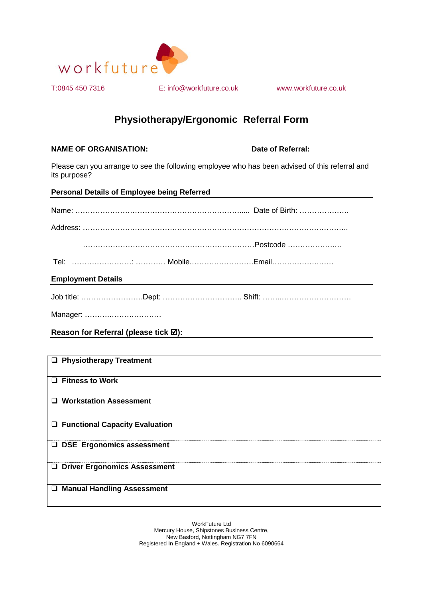

T:0845 450 7316 E: info@workfuture.co.uk www.workfuture.co.uk

## **Physiotherapy/Ergonomic Referral Form**

**NAME OF ORGANISATION:** Date of Referral:

Please can you arrange to see the following employee who has been advised of this referral and its purpose?

| <b>Personal Details of Employee being Referred</b> |  |  |
|----------------------------------------------------|--|--|
|                                                    |  |  |
|                                                    |  |  |
|                                                    |  |  |
|                                                    |  |  |
| <b>Employment Details</b>                          |  |  |
|                                                    |  |  |
|                                                    |  |  |

**Reason for Referral (please tick ):**

| <b>Physiotherapy Treatment</b><br>Q.        |
|---------------------------------------------|
|                                             |
| $\Box$ Fitness to Work                      |
| $\Box$ Workstation Assessment               |
|                                             |
| □ Functional Capacity Evaluation            |
| <b>DSE Ergonomics assessment</b>            |
| <b>Driver Ergonomics Assessment</b><br>Q.   |
|                                             |
| <b>Manual Handling Assessment</b><br>$\Box$ |
|                                             |

WorkFuture Ltd Mercury House, Shipstones Business Centre, New Basford, Nottingham NG7 7FN Registered In England + Wales. Registration No 6090664